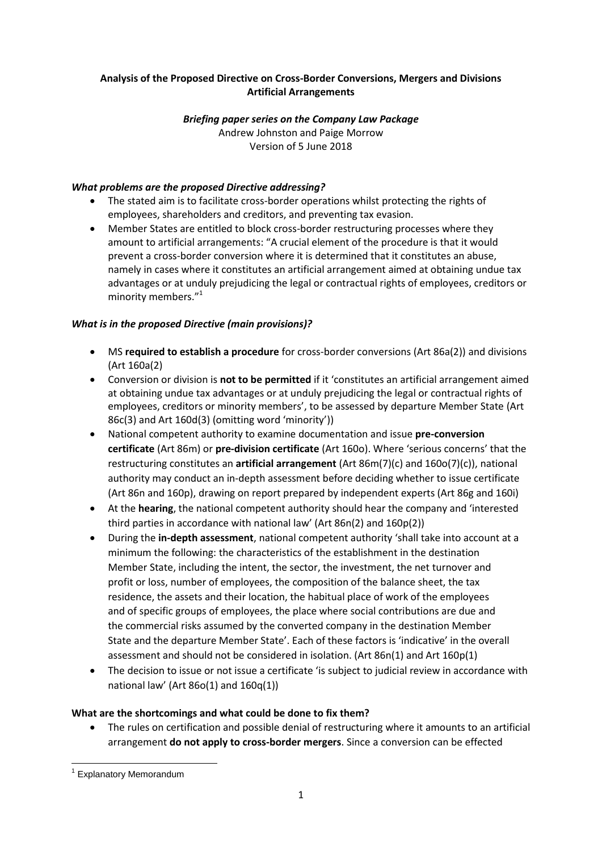## **Analysis of the Proposed Directive on Cross-Border Conversions, Mergers and Divisions Artificial Arrangements**

#### *Briefing paper series on the Company Law Package* Andrew Johnston and Paige Morrow Version of 5 June 2018

# *What problems are the proposed Directive addressing?*

- The stated aim is to facilitate cross-border operations whilst protecting the rights of employees, shareholders and creditors, and preventing tax evasion.
- Member States are entitled to block cross-border restructuring processes where they amount to artificial arrangements: "A crucial element of the procedure is that it would prevent a cross-border conversion where it is determined that it constitutes an abuse, namely in cases where it constitutes an artificial arrangement aimed at obtaining undue tax advantages or at unduly prejudicing the legal or contractual rights of employees, creditors or minority members."<sup>1</sup>

# *What is in the proposed Directive (main provisions)?*

- MS **required to establish a procedure** for cross-border conversions (Art 86a(2)) and divisions (Art 160a(2)
- Conversion or division is **not to be permitted** if it 'constitutes an artificial arrangement aimed at obtaining undue tax advantages or at unduly prejudicing the legal or contractual rights of employees, creditors or minority members', to be assessed by departure Member State (Art 86c(3) and Art 160d(3) (omitting word 'minority'))
- National competent authority to examine documentation and issue **pre-conversion certificate** (Art 86m) or **pre-division certificate** (Art 160o). Where 'serious concerns' that the restructuring constitutes an **artificial arrangement** (Art 86m(7)(c) and 160o(7)(c)), national authority may conduct an in-depth assessment before deciding whether to issue certificate (Art 86n and 160p), drawing on report prepared by independent experts (Art 86g and 160i)
- At the **hearing**, the national competent authority should hear the company and 'interested third parties in accordance with national law' (Art 86n(2) and 160p(2))
- During the **in-depth assessment**, national competent authority 'shall take into account at a minimum the following: the characteristics of the establishment in the destination Member State, including the intent, the sector, the investment, the net turnover and profit or loss, number of employees, the composition of the balance sheet, the tax residence, the assets and their location, the habitual place of work of the employees and of specific groups of employees, the place where social contributions are due and the commercial risks assumed by the converted company in the destination Member State and the departure Member State'. Each of these factors is 'indicative' in the overall assessment and should not be considered in isolation. (Art 86n(1) and Art 160p(1)
- The decision to issue or not issue a certificate 'is subject to judicial review in accordance with national law' (Art  $86o(1)$  and  $160q(1)$ )

## **What are the shortcomings and what could be done to fix them?**

 The rules on certification and possible denial of restructuring where it amounts to an artificial arrangement **do not apply to cross-border mergers**. Since a conversion can be effected

**<sup>.</sup>** <sup>1</sup> Explanatory Memorandum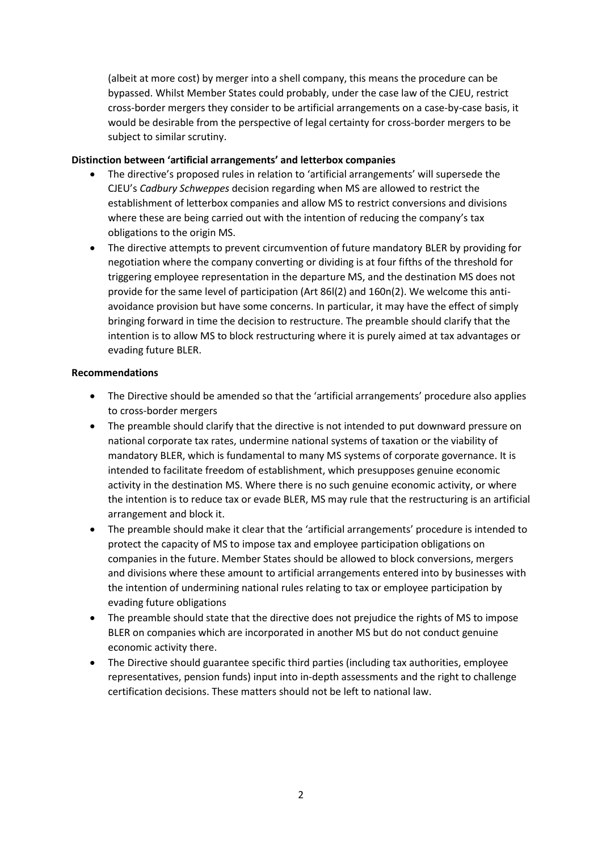(albeit at more cost) by merger into a shell company, this means the procedure can be bypassed. Whilst Member States could probably, under the case law of the CJEU, restrict cross-border mergers they consider to be artificial arrangements on a case-by-case basis, it would be desirable from the perspective of legal certainty for cross-border mergers to be subject to similar scrutiny.

### **Distinction between 'artificial arrangements' and letterbox companies**

- The directive's proposed rules in relation to 'artificial arrangements' will supersede the CJEU's *Cadbury Schweppes* decision regarding when MS are allowed to restrict the establishment of letterbox companies and allow MS to restrict conversions and divisions where these are being carried out with the intention of reducing the company's tax obligations to the origin MS.
- The directive attempts to prevent circumvention of future mandatory BLER by providing for negotiation where the company converting or dividing is at four fifths of the threshold for triggering employee representation in the departure MS, and the destination MS does not provide for the same level of participation (Art 86l(2) and 160n(2). We welcome this antiavoidance provision but have some concerns. In particular, it may have the effect of simply bringing forward in time the decision to restructure. The preamble should clarify that the intention is to allow MS to block restructuring where it is purely aimed at tax advantages or evading future BLER.

### **Recommendations**

- The Directive should be amended so that the 'artificial arrangements' procedure also applies to cross-border mergers
- The preamble should clarify that the directive is not intended to put downward pressure on national corporate tax rates, undermine national systems of taxation or the viability of mandatory BLER, which is fundamental to many MS systems of corporate governance. It is intended to facilitate freedom of establishment, which presupposes genuine economic activity in the destination MS. Where there is no such genuine economic activity, or where the intention is to reduce tax or evade BLER, MS may rule that the restructuring is an artificial arrangement and block it.
- The preamble should make it clear that the 'artificial arrangements' procedure is intended to protect the capacity of MS to impose tax and employee participation obligations on companies in the future. Member States should be allowed to block conversions, mergers and divisions where these amount to artificial arrangements entered into by businesses with the intention of undermining national rules relating to tax or employee participation by evading future obligations
- The preamble should state that the directive does not prejudice the rights of MS to impose BLER on companies which are incorporated in another MS but do not conduct genuine economic activity there.
- The Directive should guarantee specific third parties (including tax authorities, employee representatives, pension funds) input into in-depth assessments and the right to challenge certification decisions. These matters should not be left to national law.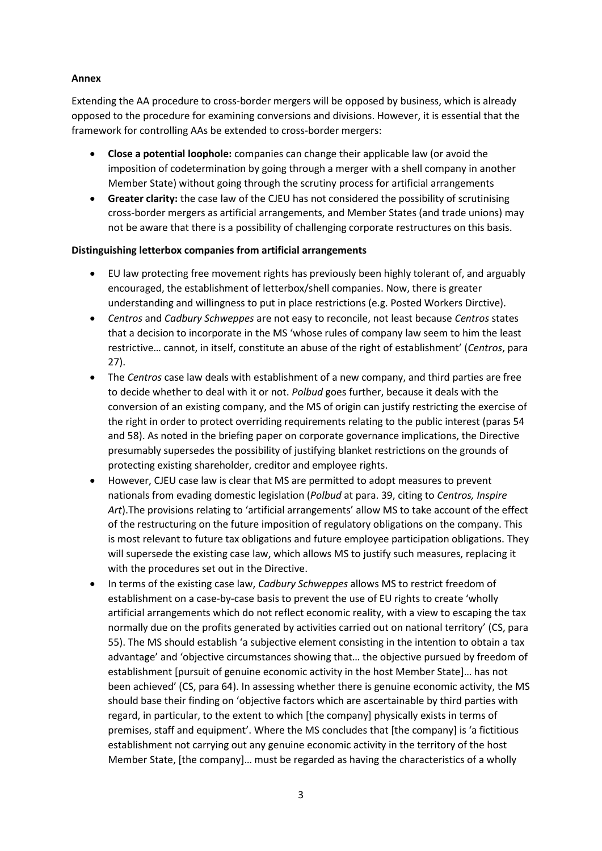## **Annex**

Extending the AA procedure to cross-border mergers will be opposed by business, which is already opposed to the procedure for examining conversions and divisions. However, it is essential that the framework for controlling AAs be extended to cross-border mergers:

- **Close a potential loophole:** companies can change their applicable law (or avoid the imposition of codetermination by going through a merger with a shell company in another Member State) without going through the scrutiny process for artificial arrangements
- **Greater clarity:** the case law of the CJEU has not considered the possibility of scrutinising cross-border mergers as artificial arrangements, and Member States (and trade unions) may not be aware that there is a possibility of challenging corporate restructures on this basis.

#### **Distinguishing letterbox companies from artificial arrangements**

- EU law protecting free movement rights has previously been highly tolerant of, and arguably encouraged, the establishment of letterbox/shell companies. Now, there is greater understanding and willingness to put in place restrictions (e.g. Posted Workers Dirctive).
- *Centros* and *Cadbury Schweppes* are not easy to reconcile, not least because *Centros* states that a decision to incorporate in the MS 'whose rules of company law seem to him the least restrictive… cannot, in itself, constitute an abuse of the right of establishment' (*Centros*, para 27).
- The *Centros* case law deals with establishment of a new company, and third parties are free to decide whether to deal with it or not. *Polbud* goes further, because it deals with the conversion of an existing company, and the MS of origin can justify restricting the exercise of the right in order to protect overriding requirements relating to the public interest (paras 54 and 58). As noted in the briefing paper on corporate governance implications, the Directive presumably supersedes the possibility of justifying blanket restrictions on the grounds of protecting existing shareholder, creditor and employee rights.
- However, CJEU case law is clear that MS are permitted to adopt measures to prevent nationals from evading domestic legislation (*Polbud* at para. 39, citing to *Centros, Inspire Art*).The provisions relating to 'artificial arrangements' allow MS to take account of the effect of the restructuring on the future imposition of regulatory obligations on the company. This is most relevant to future tax obligations and future employee participation obligations. They will supersede the existing case law, which allows MS to justify such measures, replacing it with the procedures set out in the Directive.
- In terms of the existing case law, *Cadbury Schweppes* allows MS to restrict freedom of establishment on a case-by-case basis to prevent the use of EU rights to create 'wholly artificial arrangements which do not reflect economic reality, with a view to escaping the tax normally due on the profits generated by activities carried out on national territory' (CS, para 55). The MS should establish 'a subjective element consisting in the intention to obtain a tax advantage' and 'objective circumstances showing that… the objective pursued by freedom of establishment [pursuit of genuine economic activity in the host Member State]… has not been achieved' (CS, para 64). In assessing whether there is genuine economic activity, the MS should base their finding on 'objective factors which are ascertainable by third parties with regard, in particular, to the extent to which [the company] physically exists in terms of premises, staff and equipment'. Where the MS concludes that [the company] is 'a fictitious establishment not carrying out any genuine economic activity in the territory of the host Member State, [the company]… must be regarded as having the characteristics of a wholly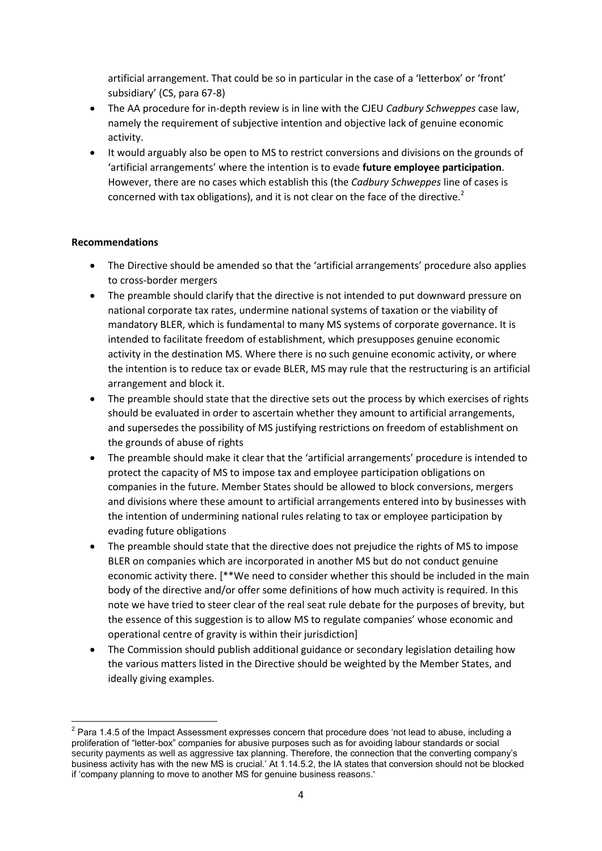artificial arrangement. That could be so in particular in the case of a 'letterbox' or 'front' subsidiary' (CS, para 67-8)

- The AA procedure for in-depth review is in line with the CJEU *Cadbury Schweppes* case law, namely the requirement of subjective intention and objective lack of genuine economic activity.
- It would arguably also be open to MS to restrict conversions and divisions on the grounds of 'artificial arrangements' where the intention is to evade **future employee participation**. However, there are no cases which establish this (the *Cadbury Schweppes* line of cases is concerned with tax obligations), and it is not clear on the face of the directive.<sup>2</sup>

## **Recommendations**

- The Directive should be amended so that the 'artificial arrangements' procedure also applies to cross-border mergers
- The preamble should clarify that the directive is not intended to put downward pressure on national corporate tax rates, undermine national systems of taxation or the viability of mandatory BLER, which is fundamental to many MS systems of corporate governance. It is intended to facilitate freedom of establishment, which presupposes genuine economic activity in the destination MS. Where there is no such genuine economic activity, or where the intention is to reduce tax or evade BLER, MS may rule that the restructuring is an artificial arrangement and block it.
- The preamble should state that the directive sets out the process by which exercises of rights should be evaluated in order to ascertain whether they amount to artificial arrangements, and supersedes the possibility of MS justifying restrictions on freedom of establishment on the grounds of abuse of rights
- The preamble should make it clear that the 'artificial arrangements' procedure is intended to protect the capacity of MS to impose tax and employee participation obligations on companies in the future. Member States should be allowed to block conversions, mergers and divisions where these amount to artificial arrangements entered into by businesses with the intention of undermining national rules relating to tax or employee participation by evading future obligations
- The preamble should state that the directive does not prejudice the rights of MS to impose BLER on companies which are incorporated in another MS but do not conduct genuine economic activity there. [\*\*We need to consider whether this should be included in the main body of the directive and/or offer some definitions of how much activity is required. In this note we have tried to steer clear of the real seat rule debate for the purposes of brevity, but the essence of this suggestion is to allow MS to regulate companies' whose economic and operational centre of gravity is within their jurisdiction]
- The Commission should publish additional guidance or secondary legislation detailing how the various matters listed in the Directive should be weighted by the Member States, and ideally giving examples.

 $\overline{a}$  $2$  Para 1.4.5 of the Impact Assessment expresses concern that procedure does 'not lead to abuse, including a proliferation of "letter-box" companies for abusive purposes such as for avoiding labour standards or social security payments as well as aggressive tax planning. Therefore, the connection that the converting company's business activity has with the new MS is crucial.' At 1.14.5.2, the IA states that conversion should not be blocked if 'company planning to move to another MS for genuine business reasons.'